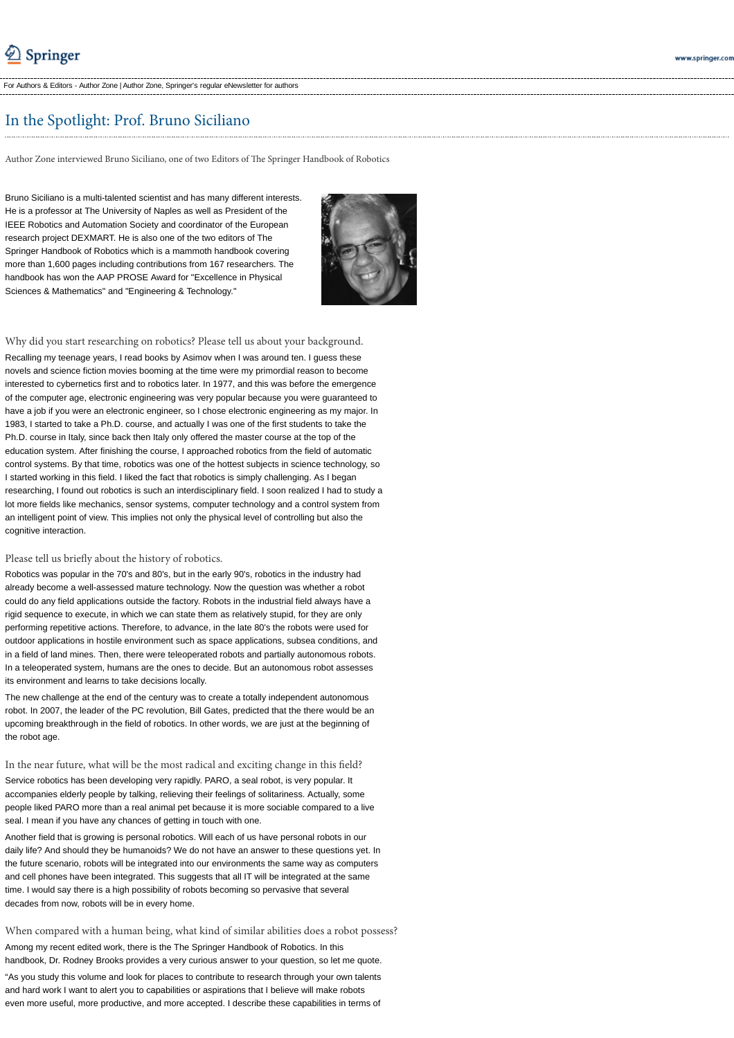For Authors & Editors - Author Zone | Author Zone, Springer's regular eNewsletter for authors

# In the Spotlight: Prof. Bruno Siciliano

Author Zone interviewed Bruno Siciliano, one of two Editors of The Springer Handbook of Robotics

Bruno Siciliano is a multi-talented scientist and has many different interests. He is a professor at The University of Naples as well as President of the IEEE Robotics and Automation Society and coordinator of the European research project DEXMART. He is also one of the two editors of The Springer Handbook of Robotics which is a mammoth handbook covering more than 1,600 pages including contributions from 167 researchers. The handbook has won the AAP PROSE Award for "Excellence in Physical Sciences & Mathematics" and "Engineering & Technology."



Why did you start researching on robotics? Please tell us about your background. Recalling my teenage years, I read books by Asimov when I was around ten. I guess these novels and science fiction movies booming at the time were my primordial reason to become interested to cybernetics first and to robotics later. In 1977, and this was before the emergence of the computer age, electronic engineering was very popular because you were guaranteed to have a job if you were an electronic engineer, so I chose electronic engineering as my major. In 1983, I started to take a Ph.D. course, and actually I was one of the first students to take the Ph.D. course in Italy, since back then Italy only offered the master course at the top of the education system. After finishing the course, I approached robotics from the field of automatic control systems. By that time, robotics was one of the hottest subjects in science technology, so I started working in this field. I liked the fact that robotics is simply challenging. As I began researching, I found out robotics is such an interdisciplinary field. I soon realized I had to study a lot more fields like mechanics, sensor systems, computer technology and a control system from an intelligent point of view. This implies not only the physical level of controlling but also the cognitive interaction.

### Please tell us briefly about the history of robotics.

Robotics was popular in the 70's and 80's, but in the early 90's, robotics in the industry had already become a well-assessed mature technology. Now the question was whether a robot could do any field applications outside the factory. Robots in the industrial field always have a rigid sequence to execute, in which we can state them as relatively stupid, for they are only performing repetitive actions. Therefore, to advance, in the late 80's the robots were used for outdoor applications in hostile environment such as space applications, subsea conditions, and in a field of land mines. Then, there were teleoperated robots and partially autonomous robots. In a teleoperated system, humans are the ones to decide. But an autonomous robot assesses its environment and learns to take decisions locally.

The new challenge at the end of the century was to create a totally independent autonomous robot. In 2007, the leader of the PC revolution, Bill Gates, predicted that the there would be an upcoming breakthrough in the field of robotics. In other words, we are just at the beginning of the robot age.

In the near future, what will be the most radical and exciting change in this field? Service robotics has been developing very rapidly. PARO, a seal robot, is very popular. It accompanies elderly people by talking, relieving their feelings of solitariness. Actually, some people liked PARO more than a real animal pet because it is more sociable compared to a live seal. I mean if you have any chances of getting in touch with one.

Another field that is growing is personal robotics. Will each of us have personal robots in our daily life? And should they be humanoids? We do not have an answer to these questions yet. In the future scenario, robots will be integrated into our environments the same way as computers and cell phones have been integrated. This suggests that all IT will be integrated at the same time. I would say there is a high possibility of robots becoming so pervasive that several decades from now, robots will be in every home.

When compared with a human being, what kind of similar abilities does a robot possess? Among my recent edited work, there is the The Springer Handbook of Robotics. In this handbook, Dr. Rodney Brooks provides a very curious answer to your question, so let me quote. "As you study this volume and look for places to contribute to research through your own talents and hard work I want to alert you to capabilities or aspirations that I believe will make robots even more useful, more productive, and more accepted. I describe these capabilities in terms of